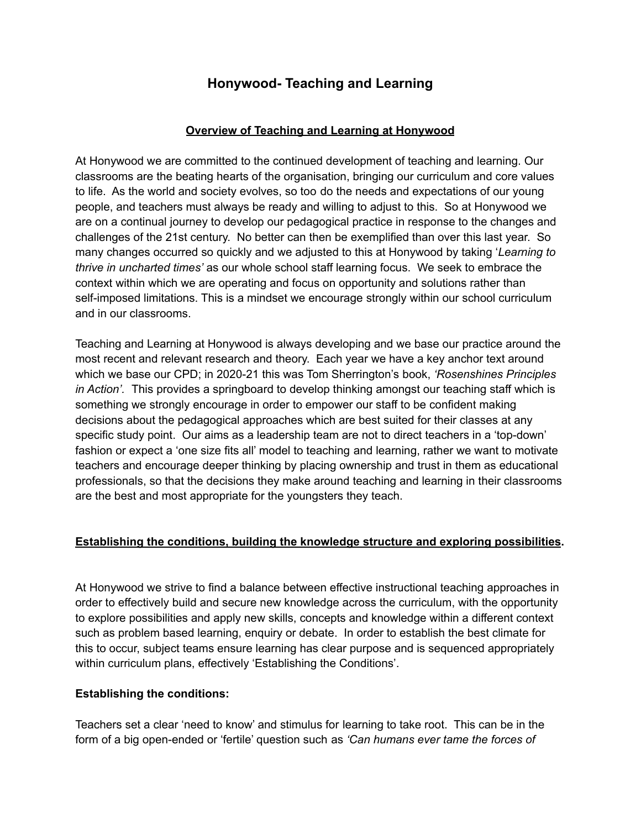# **Honywood- Teaching and Learning**

## **Overview of Teaching and Learning at Honywood**

At Honywood we are committed to the continued development of teaching and learning. Our classrooms are the beating hearts of the organisation, bringing our curriculum and core values to life. As the world and society evolves, so too do the needs and expectations of our young people, and teachers must always be ready and willing to adjust to this. So at Honywood we are on a continual journey to develop our pedagogical practice in response to the changes and challenges of the 21st century. No better can then be exemplified than over this last year. So many changes occurred so quickly and we adjusted to this at Honywood by taking '*Learning to thrive in uncharted times'* as our whole school staff learning focus. We seek to embrace the context within which we are operating and focus on opportunity and solutions rather than self-imposed limitations. This is a mindset we encourage strongly within our school curriculum and in our classrooms.

Teaching and Learning at Honywood is always developing and we base our practice around the most recent and relevant research and theory. Each year we have a key anchor text around which we base our CPD; in 2020-21 this was Tom Sherrington's book, *'Rosenshines Principles in Action'.* This provides a springboard to develop thinking amongst our teaching staff which is something we strongly encourage in order to empower our staff to be confident making decisions about the pedagogical approaches which are best suited for their classes at any specific study point. Our aims as a leadership team are not to direct teachers in a 'top-down' fashion or expect a 'one size fits all' model to teaching and learning, rather we want to motivate teachers and encourage deeper thinking by placing ownership and trust in them as educational professionals, so that the decisions they make around teaching and learning in their classrooms are the best and most appropriate for the youngsters they teach.

# **Establishing the conditions, building the knowledge structure and exploring possibilities.**

At Honywood we strive to find a balance between effective instructional teaching approaches in order to effectively build and secure new knowledge across the curriculum, with the opportunity to explore possibilities and apply new skills, concepts and knowledge within a different context such as problem based learning, enquiry or debate. In order to establish the best climate for this to occur, subject teams ensure learning has clear purpose and is sequenced appropriately within curriculum plans, effectively 'Establishing the Conditions'.

### **Establishing the conditions:**

Teachers set a clear 'need to know' and stimulus for learning to take root. This can be in the form of a big open-ended or 'fertile' question such as *'Can humans ever tame the forces of*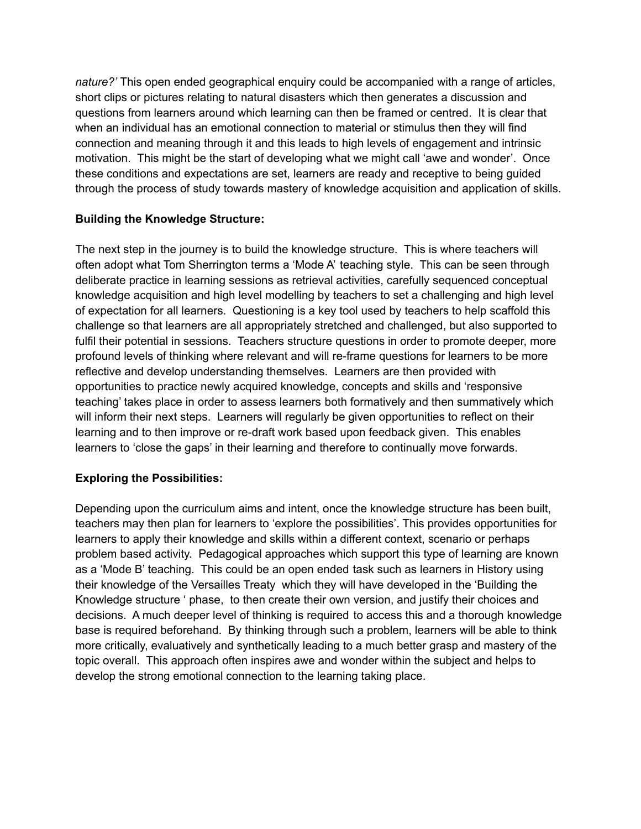*nature?'* This open ended geographical enquiry could be accompanied with a range of articles, short clips or pictures relating to natural disasters which then generates a discussion and questions from learners around which learning can then be framed or centred. It is clear that when an individual has an emotional connection to material or stimulus then they will find connection and meaning through it and this leads to high levels of engagement and intrinsic motivation. This might be the start of developing what we might call 'awe and wonder'. Once these conditions and expectations are set, learners are ready and receptive to being guided through the process of study towards mastery of knowledge acquisition and application of skills.

# **Building the Knowledge Structure:**

The next step in the journey is to build the knowledge structure. This is where teachers will often adopt what Tom Sherrington terms a 'Mode A' teaching style. This can be seen through deliberate practice in learning sessions as retrieval activities, carefully sequenced conceptual knowledge acquisition and high level modelling by teachers to set a challenging and high level of expectation for all learners. Questioning is a key tool used by teachers to help scaffold this challenge so that learners are all appropriately stretched and challenged, but also supported to fulfil their potential in sessions. Teachers structure questions in order to promote deeper, more profound levels of thinking where relevant and will re-frame questions for learners to be more reflective and develop understanding themselves. Learners are then provided with opportunities to practice newly acquired knowledge, concepts and skills and 'responsive teaching' takes place in order to assess learners both formatively and then summatively which will inform their next steps. Learners will regularly be given opportunities to reflect on their learning and to then improve or re-draft work based upon feedback given. This enables learners to 'close the gaps' in their learning and therefore to continually move forwards.

# **Exploring the Possibilities:**

Depending upon the curriculum aims and intent, once the knowledge structure has been built, teachers may then plan for learners to 'explore the possibilities'. This provides opportunities for learners to apply their knowledge and skills within a different context, scenario or perhaps problem based activity. Pedagogical approaches which support this type of learning are known as a 'Mode B' teaching. This could be an open ended task such as learners in History using their knowledge of the Versailles Treaty which they will have developed in the 'Building the Knowledge structure ' phase, to then create their own version, and justify their choices and decisions. A much deeper level of thinking is required to access this and a thorough knowledge base is required beforehand. By thinking through such a problem, learners will be able to think more critically, evaluatively and synthetically leading to a much better grasp and mastery of the topic overall. This approach often inspires awe and wonder within the subject and helps to develop the strong emotional connection to the learning taking place.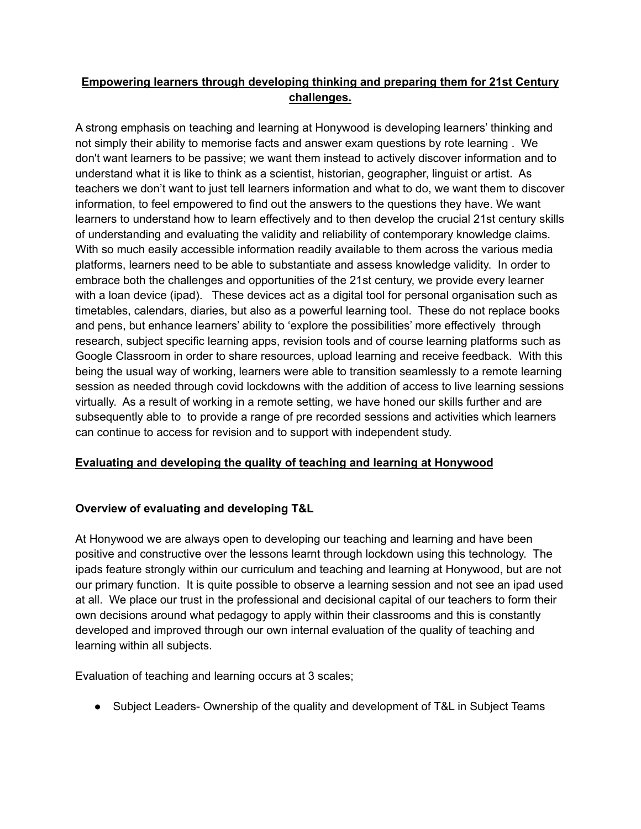# **Empowering learners through developing thinking and preparing them for 21st Century challenges.**

A strong emphasis on teaching and learning at Honywood is developing learners' thinking and not simply their ability to memorise facts and answer exam questions by rote learning . We don't want learners to be passive; we want them instead to actively discover information and to understand what it is like to think as a scientist, historian, geographer, linguist or artist. As teachers we don't want to just tell learners information and what to do, we want them to discover information, to feel empowered to find out the answers to the questions they have. We want learners to understand how to learn effectively and to then develop the crucial 21st century skills of understanding and evaluating the validity and reliability of contemporary knowledge claims. With so much easily accessible information readily available to them across the various media platforms, learners need to be able to substantiate and assess knowledge validity. In order to embrace both the challenges and opportunities of the 21st century, we provide every learner with a loan device (ipad). These devices act as a digital tool for personal organisation such as timetables, calendars, diaries, but also as a powerful learning tool. These do not replace books and pens, but enhance learners' ability to 'explore the possibilities' more effectively through research, subject specific learning apps, revision tools and of course learning platforms such as Google Classroom in order to share resources, upload learning and receive feedback. With this being the usual way of working, learners were able to transition seamlessly to a remote learning session as needed through covid lockdowns with the addition of access to live learning sessions virtually. As a result of working in a remote setting, we have honed our skills further and are subsequently able to to provide a range of pre recorded sessions and activities which learners can continue to access for revision and to support with independent study.

# **Evaluating and developing the quality of teaching and learning at Honywood**

# **Overview of evaluating and developing T&L**

At Honywood we are always open to developing our teaching and learning and have been positive and constructive over the lessons learnt through lockdown using this technology. The ipads feature strongly within our curriculum and teaching and learning at Honywood, but are not our primary function. It is quite possible to observe a learning session and not see an ipad used at all. We place our trust in the professional and decisional capital of our teachers to form their own decisions around what pedagogy to apply within their classrooms and this is constantly developed and improved through our own internal evaluation of the quality of teaching and learning within all subjects.

Evaluation of teaching and learning occurs at 3 scales;

• Subject Leaders- Ownership of the quality and development of T&L in Subject Teams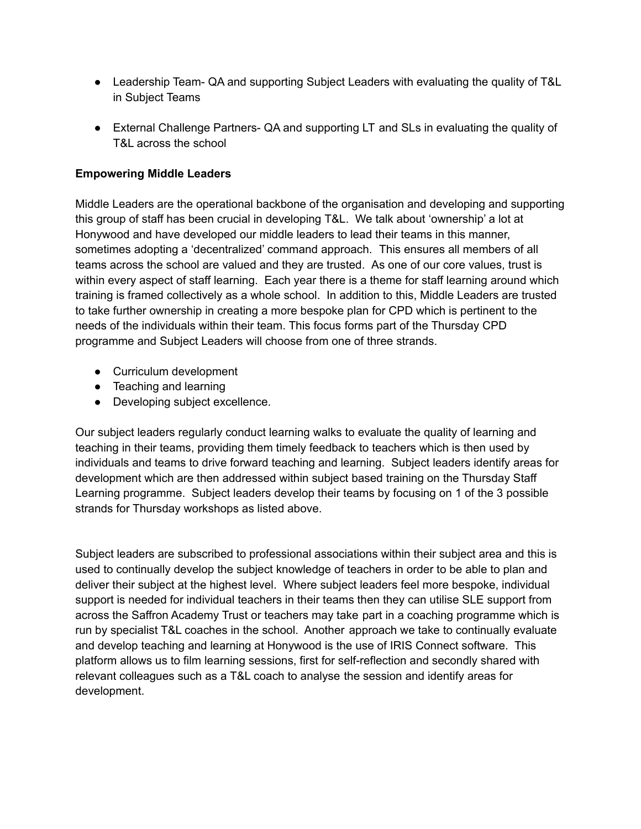- Leadership Team- QA and supporting Subject Leaders with evaluating the quality of T&L in Subject Teams
- External Challenge Partners- QA and supporting LT and SLs in evaluating the quality of T&L across the school

### **Empowering Middle Leaders**

Middle Leaders are the operational backbone of the organisation and developing and supporting this group of staff has been crucial in developing T&L. We talk about 'ownership' a lot at Honywood and have developed our middle leaders to lead their teams in this manner, sometimes adopting a 'decentralized' command approach. This ensures all members of all teams across the school are valued and they are trusted. As one of our core values, trust is within every aspect of staff learning. Each year there is a theme for staff learning around which training is framed collectively as a whole school. In addition to this, Middle Leaders are trusted to take further ownership in creating a more bespoke plan for CPD which is pertinent to the needs of the individuals within their team. This focus forms part of the Thursday CPD programme and Subject Leaders will choose from one of three strands.

- Curriculum development
- Teaching and learning
- Developing subject excellence.

Our subject leaders regularly conduct learning walks to evaluate the quality of learning and teaching in their teams, providing them timely feedback to teachers which is then used by individuals and teams to drive forward teaching and learning. Subject leaders identify areas for development which are then addressed within subject based training on the Thursday Staff Learning programme. Subject leaders develop their teams by focusing on 1 of the 3 possible strands for Thursday workshops as listed above.

Subject leaders are subscribed to professional associations within their subject area and this is used to continually develop the subject knowledge of teachers in order to be able to plan and deliver their subject at the highest level. Where subject leaders feel more bespoke, individual support is needed for individual teachers in their teams then they can utilise SLE support from across the Saffron Academy Trust or teachers may take part in a coaching programme which is run by specialist T&L coaches in the school. Another approach we take to continually evaluate and develop teaching and learning at Honywood is the use of IRIS Connect software. This platform allows us to film learning sessions, first for self-reflection and secondly shared with relevant colleagues such as a T&L coach to analyse the session and identify areas for development.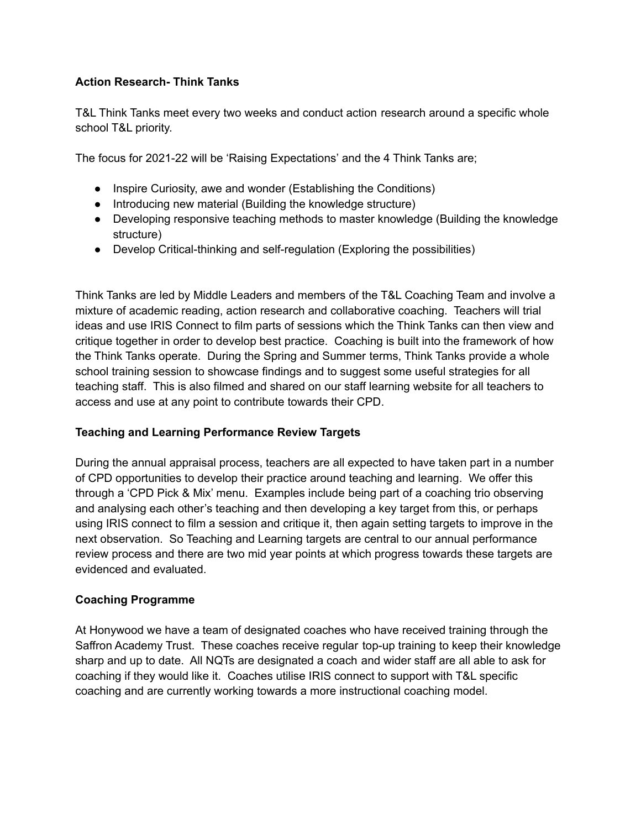# **Action Research- Think Tanks**

T&L Think Tanks meet every two weeks and conduct action research around a specific whole school T&L priority.

The focus for 2021-22 will be 'Raising Expectations' and the 4 Think Tanks are;

- Inspire Curiosity, awe and wonder (Establishing the Conditions)
- Introducing new material (Building the knowledge structure)
- Developing responsive teaching methods to master knowledge (Building the knowledge structure)
- Develop Critical-thinking and self-regulation (Exploring the possibilities)

Think Tanks are led by Middle Leaders and members of the T&L Coaching Team and involve a mixture of academic reading, action research and collaborative coaching. Teachers will trial ideas and use IRIS Connect to film parts of sessions which the Think Tanks can then view and critique together in order to develop best practice. Coaching is built into the framework of how the Think Tanks operate. During the Spring and Summer terms, Think Tanks provide a whole school training session to showcase findings and to suggest some useful strategies for all teaching staff. This is also filmed and shared on our staff learning website for all teachers to access and use at any point to contribute towards their CPD.

### **Teaching and Learning Performance Review Targets**

During the annual appraisal process, teachers are all expected to have taken part in a number of CPD opportunities to develop their practice around teaching and learning. We offer this through a 'CPD Pick & Mix' menu. Examples include being part of a coaching trio observing and analysing each other's teaching and then developing a key target from this, or perhaps using IRIS connect to film a session and critique it, then again setting targets to improve in the next observation. So Teaching and Learning targets are central to our annual performance review process and there are two mid year points at which progress towards these targets are evidenced and evaluated.

### **Coaching Programme**

At Honywood we have a team of designated coaches who have received training through the Saffron Academy Trust. These coaches receive regular top-up training to keep their knowledge sharp and up to date. All NQTs are designated a coach and wider staff are all able to ask for coaching if they would like it. Coaches utilise IRIS connect to support with T&L specific coaching and are currently working towards a more instructional coaching model.